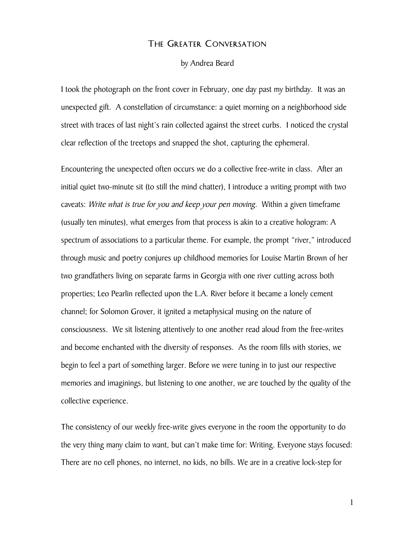## The Greater Conversation

by Andrea Beard

I took the photograph on the front cover in February, one day past my birthday. It was an unexpected gift. A constellation of circumstance: a quiet morning on a neighborhood side street with traces of last night's rain collected against the street curbs. I noticed the crystal clear reflection of the treetops and snapped the shot, capturing the ephemeral.

Encountering the unexpected often occurs we do a collective free-write in class. After an initial quiet two-minute sit (to still the mind chatter), I introduce a writing prompt with two caveats: Write what is true for you and keep your pen moving. Within a given timeframe (usually ten minutes), what emerges from that process is akin to a creative hologram: A spectrum of associations to a particular theme. For example, the prompt "river," introduced through music and poetry conjures up childhood memories for Louise Martin Brown of her two grandfathers living on separate farms in Georgia with one river cutting across both properties; Leo Pearlin reflected upon the L.A. River before it became a lonely cement channel; for Solomon Grover, it ignited a metaphysical musing on the nature of consciousness. We sit listening attentively to one another read aloud from the free-writes and become enchanted with the diversity of responses. As the room fills with stories, we begin to feel a part of something larger. Before we were tuning in to just our respective memories and imaginings, but listening to one another, we are touched by the quality of the collective experience.

The consistency of our weekly free-write gives everyone in the room the opportunity to do the very thing many claim to want, but can't make time for: Writing. Everyone stays focused: There are no cell phones, no internet, no kids, no bills. We are in a creative lock-step for

1